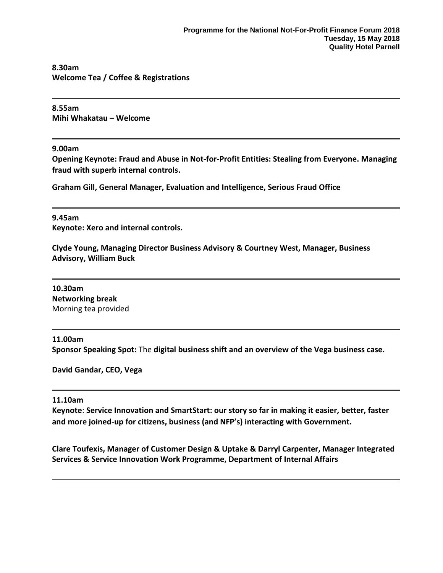#### **8.30am Welcome Tea / Coffee & Registrations**

**8.55am Mihi Whakatau – Welcome**

## **9.00am**

**Opening Keynote: Fraud and Abuse in Not-for-Profit Entities: Stealing from Everyone. Managing fraud with superb internal controls.**

**Graham Gill, General Manager, Evaluation and Intelligence, Serious Fraud Office**

## **9.45am**

**Keynote: Xero and internal controls.**

**Clyde Young, Managing Director Business Advisory & Courtney West, Manager, Business Advisory, William Buck**

**10.30am Networking break** Morning tea provided

# **11.00am**

**Sponsor Speaking Spot:** The **digital business shift and an overview of the Vega business case.**

**David Gandar, CEO, Vega**

#### **11.10am**

**Keynote**: **Service Innovation and SmartStart: our story so far in making it easier, better, faster and more joined-up for citizens, business (and NFP's) interacting with Government.**

**Clare Toufexis, Manager of Customer Design & Uptake & Darryl Carpenter, Manager Integrated Services & Service Innovation Work Programme, Department of Internal Affairs**